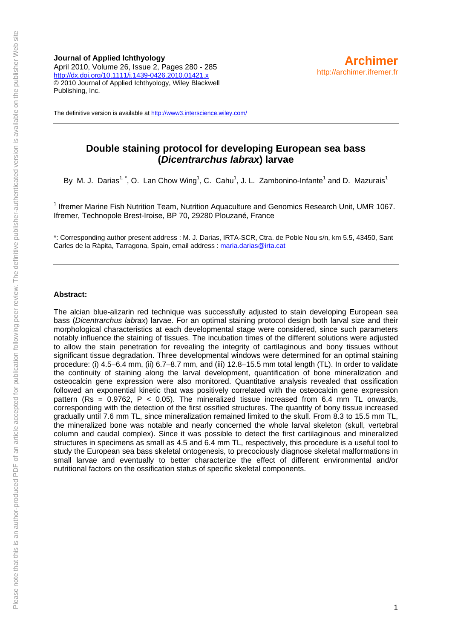**Journal of Applied Ichthyology**  April 2010, Volume 26, Issue 2, Pages 280 - 285 <http://dx.doi.org/10.1111/j.1439-0426.2010.01421.x> © 2010 Journal of Applied Ichthyology, Wiley Blackwell Publishing, Inc.

The definitive version is available at<http://www3.interscience.wiley.com/>

# **Double staining protocol for developing European sea bass (***Dicentrarchus labrax***) larvae**

By M. J. Darias<sup>1,\*</sup>, O. Lan Chow Wing<sup>1</sup>, C. Cahu<sup>1</sup>, J. L. Zambonino-Infante<sup>1</sup> and D. Mazurais<sup>1</sup>

<sup>1</sup> Ifremer Marine Fish Nutrition Team, Nutrition Aquaculture and Genomics Research Unit, UMR 1067. Ifremer, Technopole Brest-Iroise, BP 70, 29280 Plouzané, France

\*: Corresponding author present address : M. J. Darias, IRTA-SCR, Ctra. de Poble Nou s/n, km 5.5, 43450, Sant Carles de la Ràpita, Tarragona, Spain, email address : [maria.darias@irta.cat](mailto:maria.darias@irta.cat)

#### **Abstract:**

The alcian blue-alizarin red technique was successfully adjusted to stain developing European sea bass (*Dicentrarchus labrax*) larvae. For an optimal staining protocol design both larval size and their morphological characteristics at each developmental stage were considered, since such parameters notably influence the staining of tissues. The incubation times of the different solutions were adjusted to allow the stain penetration for revealing the integrity of cartilaginous and bony tissues without significant tissue degradation. Three developmental windows were determined for an optimal staining procedure: (i) 4.5–6.4 mm, (ii) 6.7–8.7 mm, and (iii) 12.8–15.5 mm total length (TL). In order to validate the continuity of staining along the larval development, quantification of bone mineralization and osteocalcin gene expression were also monitored. Quantitative analysis revealed that ossification followed an exponential kinetic that was positively correlated with the osteocalcin gene expression pattern (Rs =  $0.9762$ , P <  $0.05$ ). The mineralized tissue increased from 6.4 mm TL onwards, corresponding with the detection of the first ossified structures. The quantity of bony tissue increased gradually until 7.6 mm TL, since mineralization remained limited to the skull. From 8.3 to 15.5 mm TL, the mineralized bone was notable and nearly concerned the whole larval skeleton (skull, vertebral column and caudal complex). Since it was possible to detect the first cartilaginous and mineralized structures in specimens as small as 4.5 and 6.4 mm TL, respectively, this procedure is a useful tool to study the European sea bass skeletal ontogenesis, to precociously diagnose skeletal malformations in small larvae and eventually to better characterize the effect of different environmental and/or nutritional factors on the ossification status of specific skeletal components.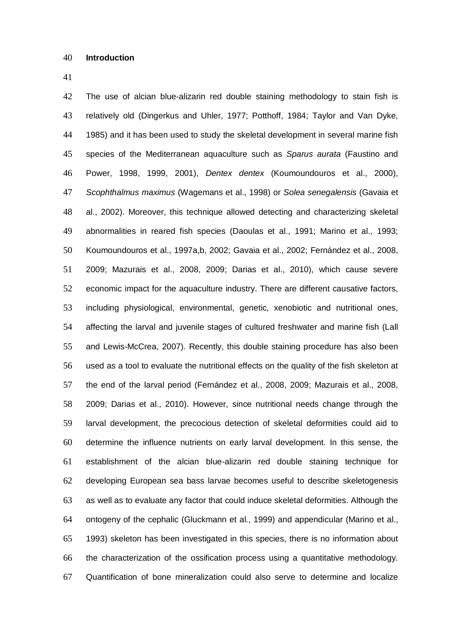The use of alcian blue-alizarin red double staining methodology to stain fish is relatively old (Dingerkus and Uhler, 1977; Potthoff, 1984; Taylor and Van Dyke, 1985) and it has been used to study the skeletal development in several marine fish species of the Mediterranean aquaculture such as *Sparus aurata* (Faustino and Power, 1998, 1999, 2001), *Dentex dentex* (Koumoundouros et al., 2000), *Scophthalmus maximus* (Wagemans et al., 1998) or *Solea senegalensis* (Gavaia et al., 2002). Moreover, this technique allowed detecting and characterizing skeletal abnormalities in reared fish species (Daoulas et al., 1991; Marino et al., 1993; Koumoundouros et al., 1997a,b, 2002; Gavaia et al., 2002; Fernández et al., 2008, 2009; Mazurais et al., 2008, 2009; Darias et al., 2010), which cause severe economic impact for the aquaculture industry. There are different causative factors, including physiological, environmental, genetic, xenobiotic and nutritional ones, affecting the larval and juvenile stages of cultured freshwater and marine fish (Lall and Lewis-McCrea, 2007). Recently, this double staining procedure has also been used as a tool to evaluate the nutritional effects on the quality of the fish skeleton at the end of the larval period (Fernández et al., 2008, 2009; Mazurais et al., 2008, 2009; Darias et al., 2010). However, since nutritional needs change through the larval development, the precocious detection of skeletal deformities could aid to determine the influence nutrients on early larval development. In this sense, the establishment of the alcian blue-alizarin red double staining technique for developing European sea bass larvae becomes useful to describe skeletogenesis as well as to evaluate any factor that could induce skeletal deformities. Although the ontogeny of the cephalic (Gluckmann et al., 1999) and appendicular (Marino et al., 1993) skeleton has been investigated in this species, there is no information about the characterization of the ossification process using a quantitative methodology. Quantification of bone mineralization could also serve to determine and localize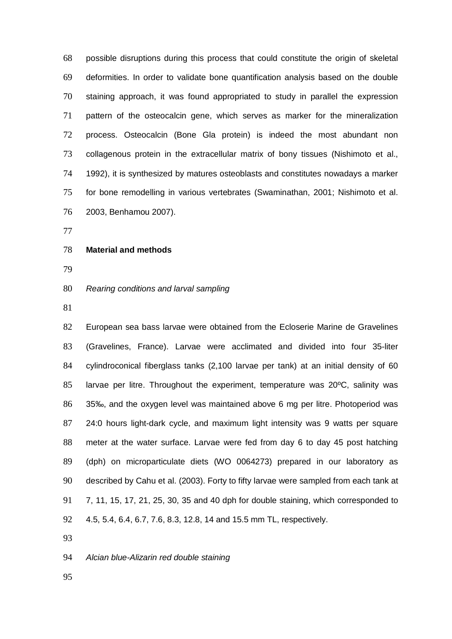possible disruptions during this process that could constitute the origin of skeletal deformities. In order to validate bone quantification analysis based on the double staining approach, it was found appropriated to study in parallel the expression pattern of the osteocalcin gene, which serves as marker for the mineralization process. Osteocalcin (Bone Gla protein) is indeed the most abundant non collagenous protein in the extracellular matrix of bony tissues (Nishimoto et al., 1992), it is synthesized by matures osteoblasts and constitutes nowadays a marker for bone remodelling in various vertebrates (Swaminathan, 2001; Nishimoto et al. 2003, Benhamou 2007).

# **Material and methods**

### *Rearing conditions and larval sampling*

 European sea bass larvae were obtained from the Ecloserie Marine de Gravelines (Gravelines, France). Larvae were acclimated and divided into four 35-liter cylindroconical fiberglass tanks (2,100 larvae per tank) at an initial density of 60 larvae per litre. Throughout the experiment, temperature was 20ºC, salinity was 35‰, and the oxygen level was maintained above 6 mg per litre. Photoperiod was 24:0 hours light-dark cycle, and maximum light intensity was 9 watts per square meter at the water surface. Larvae were fed from day 6 to day 45 post hatching (dph) on microparticulate diets (WO 0064273) prepared in our laboratory as described by Cahu et al. (2003). Forty to fifty larvae were sampled from each tank at 7, 11, 15, 17, 21, 25, 30, 35 and 40 dph for double staining, which corresponded to 4.5, 5.4, 6.4, 6.7, 7.6, 8.3, 12.8, 14 and 15.5 mm TL, respectively.

#### *Alcian blue-Alizarin red double staining*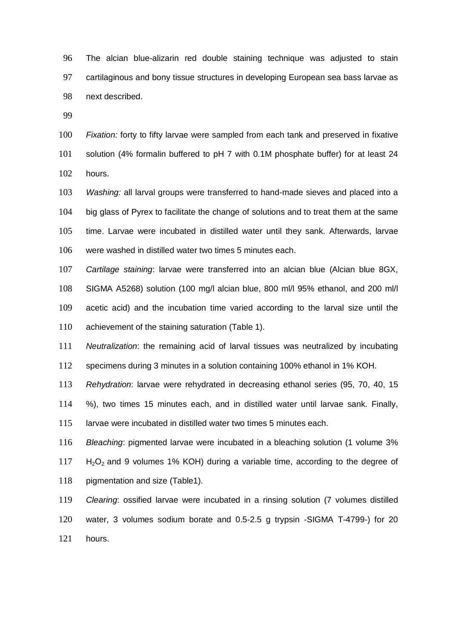The alcian blue-alizarin red double staining technique was adjusted to stain cartilaginous and bony tissue structures in developing European sea bass larvae as next described.

 *Fixation:* forty to fifty larvae were sampled from each tank and preserved in fixative solution (4% formalin buffered to pH 7 with 0.1M phosphate buffer) for at least 24 hours.

 *Washing:* all larval groups were transferred to hand-made sieves and placed into a big glass of Pyrex to facilitate the change of solutions and to treat them at the same time. Larvae were incubated in distilled water until they sank. Afterwards, larvae were washed in distilled water two times 5 minutes each.

 *Cartilage staining*: larvae were transferred into an alcian blue (Alcian blue 8GX, SIGMA A5268) solution (100 mg/l alcian blue, 800 ml/l 95% ethanol, and 200 ml/l acetic acid) and the incubation time varied according to the larval size until the achievement of the staining saturation (Table 1).

 *Neutralization*: the remaining acid of larval tissues was neutralized by incubating specimens during 3 minutes in a solution containing 100% ethanol in 1% KOH.

 *Rehydration*: larvae were rehydrated in decreasing ethanol series (95, 70, 40, 15 %), two times 15 minutes each, and in distilled water until larvae sank. Finally, larvae were incubated in distilled water two times 5 minutes each.

 *Bleaching*: pigmented larvae were incubated in a bleaching solution (1 volume 3% H<sub>2</sub>O<sub>2</sub> and 9 volumes 1% KOH) during a variable time, according to the degree of pigmentation and size (Table1).

 *Clearing*: ossified larvae were incubated in a rinsing solution (7 volumes distilled water, 3 volumes sodium borate and 0.5-2.5 g trypsin -SIGMA T-4799-) for 20 hours.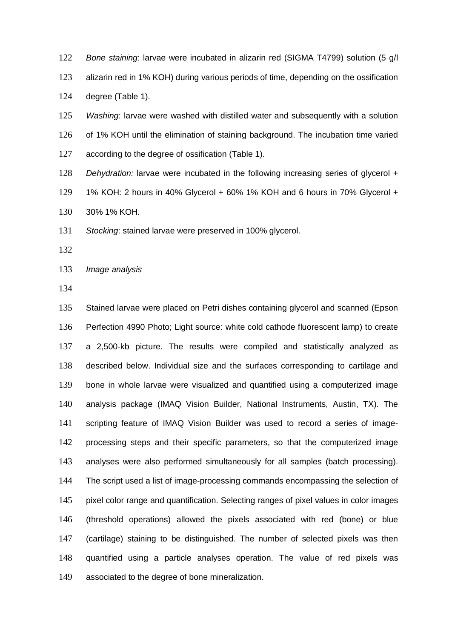*Bone staining*: larvae were incubated in alizarin red (SIGMA T4799) solution (5 g/l alizarin red in 1% KOH) during various periods of time, depending on the ossification degree (Table 1).

 *Washing*: larvae were washed with distilled water and subsequently with a solution of 1% KOH until the elimination of staining background. The incubation time varied according to the degree of ossification (Table 1).

*Dehydration:* larvae were incubated in the following increasing series of glycerol + 1% KOH: 2 hours in 40% Glycerol + 60% 1% KOH and 6 hours in 70% Glycerol + 30% 1% KOH.

*Stocking*: stained larvae were preserved in 100% glycerol.

*Image analysis*

 Stained larvae were placed on Petri dishes containing glycerol and scanned (Epson Perfection 4990 Photo; Light source: white cold cathode fluorescent lamp) to create a 2,500-kb picture. The results were compiled and statistically analyzed as described below. Individual size and the surfaces corresponding to cartilage and bone in whole larvae were visualized and quantified using a computerized image analysis package (IMAQ Vision Builder, National Instruments, Austin, TX). The scripting feature of IMAQ Vision Builder was used to record a series of image- processing steps and their specific parameters, so that the computerized image analyses were also performed simultaneously for all samples (batch processing). The script used a list of image-processing commands encompassing the selection of pixel color range and quantification. Selecting ranges of pixel values in color images (threshold operations) allowed the pixels associated with red (bone) or blue (cartilage) staining to be distinguished. The number of selected pixels was then quantified using a particle analyses operation. The value of red pixels was associated to the degree of bone mineralization.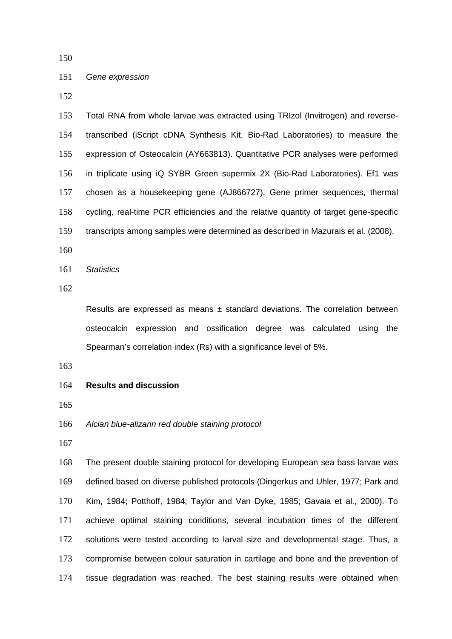## *Gene expression*

 Total RNA from whole larvae was extracted using TRIzol (Invitrogen) and reverse- transcribed (iScript cDNA Synthesis Kit, Bio-Rad Laboratories) to measure the expression of Osteocalcin (AY663813). Quantitative PCR analyses were performed in triplicate using iQ SYBR Green supermix 2X (Bio-Rad Laboratories). Ef1 was chosen as a housekeeping gene (AJ866727). Gene primer sequences, thermal cycling, real-time PCR efficiencies and the relative quantity of target gene-specific transcripts among samples were determined as described in Mazurais et al. (2008).

*Statistics*

Results are expressed as means  $\pm$  standard deviations. The correlation between osteocalcin expression and ossification degree was calculated using the Spearman's correlation index (Rs) with a significance level of 5%.

- **Results and discussion**
- 
- *Alcian blue-alizarin red double staining protocol*
- 

 The present double staining protocol for developing European sea bass larvae was defined based on diverse published protocols (Dingerkus and Uhler, 1977; Park and Kim, 1984; Potthoff, 1984; Taylor and Van Dyke, 1985; Gavaia et al., 2000). To achieve optimal staining conditions, several incubation times of the different solutions were tested according to larval size and developmental stage. Thus, a compromise between colour saturation in cartilage and bone and the prevention of tissue degradation was reached. The best staining results were obtained when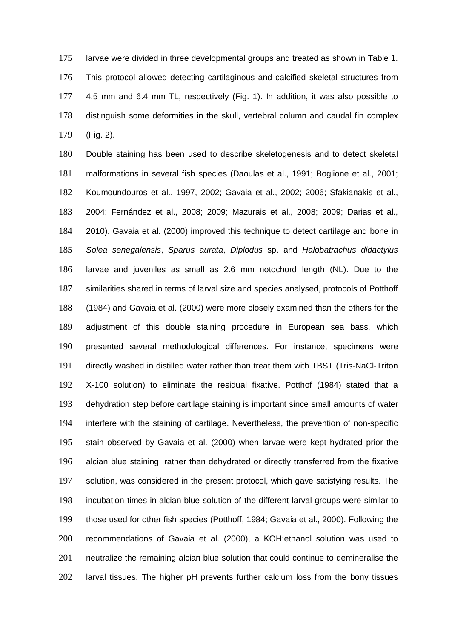larvae were divided in three developmental groups and treated as shown in Table 1. This protocol allowed detecting cartilaginous and calcified skeletal structures from 4.5 mm and 6.4 mm TL, respectively (Fig. 1). In addition, it was also possible to distinguish some deformities in the skull, vertebral column and caudal fin complex (Fig. 2).

 Double staining has been used to describe skeletogenesis and to detect skeletal malformations in several fish species (Daoulas et al., 1991; Boglione et al., 2001; Koumoundouros et al., 1997, 2002; Gavaia et al., 2002; 2006; Sfakianakis et al., 2004; Fernández et al., 2008; 2009; Mazurais et al., 2008; 2009; Darias et al., 2010). Gavaia et al. (2000) improved this technique to detect cartilage and bone in *Solea senegalensis*, *Sparus aurata*, *Diplodus* sp. and *Halobatrachus didactylus* larvae and juveniles as small as 2.6 mm notochord length (NL). Due to the similarities shared in terms of larval size and species analysed, protocols of Potthoff (1984) and Gavaia et al. (2000) were more closely examined than the others for the adjustment of this double staining procedure in European sea bass, which presented several methodological differences. For instance, specimens were directly washed in distilled water rather than treat them with TBST (Tris-NaCl-Triton X-100 solution) to eliminate the residual fixative. Potthof (1984) stated that a dehydration step before cartilage staining is important since small amounts of water interfere with the staining of cartilage. Nevertheless, the prevention of non-specific stain observed by Gavaia et al. (2000) when larvae were kept hydrated prior the alcian blue staining, rather than dehydrated or directly transferred from the fixative solution, was considered in the present protocol, which gave satisfying results. The incubation times in alcian blue solution of the different larval groups were similar to those used for other fish species (Potthoff, 1984; Gavaia et al., 2000). Following the recommendations of Gavaia et al. (2000), a KOH:ethanol solution was used to neutralize the remaining alcian blue solution that could continue to demineralise the larval tissues. The higher pH prevents further calcium loss from the bony tissues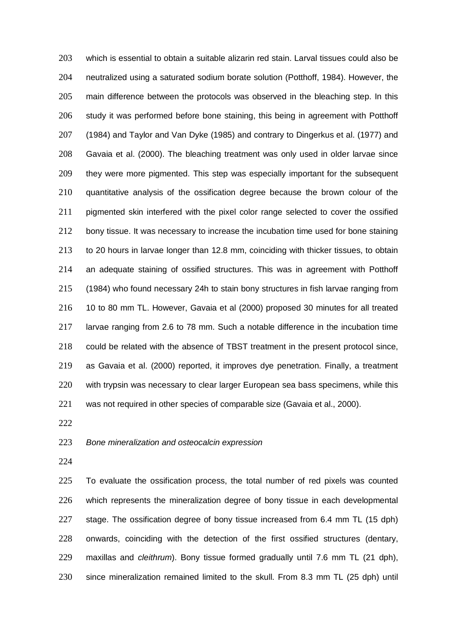which is essential to obtain a suitable alizarin red stain. Larval tissues could also be neutralized using a saturated sodium borate solution (Potthoff, 1984). However, the main difference between the protocols was observed in the bleaching step. In this study it was performed before bone staining, this being in agreement with Potthoff (1984) and Taylor and Van Dyke (1985) and contrary to Dingerkus et al. (1977) and Gavaia et al. (2000). The bleaching treatment was only used in older larvae since they were more pigmented. This step was especially important for the subsequent quantitative analysis of the ossification degree because the brown colour of the 211 pigmented skin interfered with the pixel color range selected to cover the ossified 212 bony tissue. It was necessary to increase the incubation time used for bone staining to 20 hours in larvae longer than 12.8 mm, coinciding with thicker tissues, to obtain an adequate staining of ossified structures. This was in agreement with Potthoff (1984) who found necessary 24h to stain bony structures in fish larvae ranging from 10 to 80 mm TL. However, Gavaia et al (2000) proposed 30 minutes for all treated larvae ranging from 2.6 to 78 mm. Such a notable difference in the incubation time could be related with the absence of TBST treatment in the present protocol since, as Gavaia et al. (2000) reported, it improves dye penetration. Finally, a treatment with trypsin was necessary to clear larger European sea bass specimens, while this was not required in other species of comparable size (Gavaia et al., 2000).

### *Bone mineralization and osteocalcin expression*

 To evaluate the ossification process, the total number of red pixels was counted which represents the mineralization degree of bony tissue in each developmental stage. The ossification degree of bony tissue increased from 6.4 mm TL (15 dph) onwards, coinciding with the detection of the first ossified structures (dentary, maxillas and *cleithrum*). Bony tissue formed gradually until 7.6 mm TL (21 dph), since mineralization remained limited to the skull. From 8.3 mm TL (25 dph) until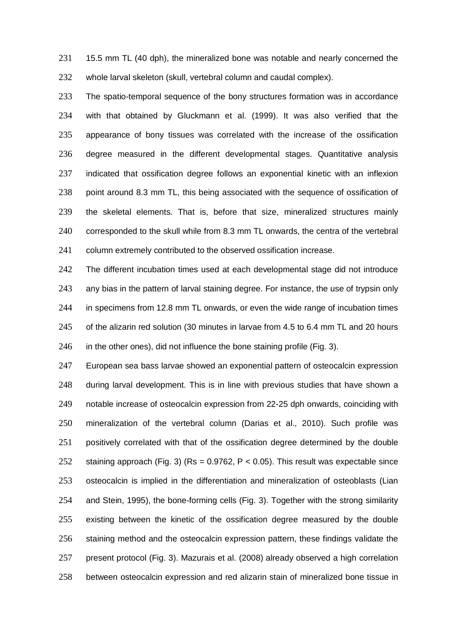231 15.5 mm TL (40 dph), the mineralized bone was notable and nearly concerned the whole larval skeleton (skull, vertebral column and caudal complex).

 The spatio-temporal sequence of the bony structures formation was in accordance with that obtained by Gluckmann et al. (1999). It was also verified that the appearance of bony tissues was correlated with the increase of the ossification degree measured in the different developmental stages. Quantitative analysis indicated that ossification degree follows an exponential kinetic with an inflexion 238 point around 8.3 mm TL, this being associated with the sequence of ossification of the skeletal elements. That is, before that size, mineralized structures mainly corresponded to the skull while from 8.3 mm TL onwards, the centra of the vertebral column extremely contributed to the observed ossification increase.

242 The different incubation times used at each developmental stage did not introduce any bias in the pattern of larval staining degree. For instance, the use of trypsin only in specimens from 12.8 mm TL onwards, or even the wide range of incubation times 245 of the alizarin red solution (30 minutes in larvae from 4.5 to 6.4 mm TL and 20 hours in the other ones), did not influence the bone staining profile (Fig. 3).

 European sea bass larvae showed an exponential pattern of osteocalcin expression during larval development. This is in line with previous studies that have shown a notable increase of osteocalcin expression from 22-25 dph onwards, coinciding with mineralization of the vertebral column (Darias et al., 2010). Such profile was positively correlated with that of the ossification degree determined by the double staining approach (Fig. 3) (Rs = 0.9762, P < 0.05). This result was expectable since osteocalcin is implied in the differentiation and mineralization of osteoblasts (Lian and Stein, 1995), the bone-forming cells (Fig. 3). Together with the strong similarity existing between the kinetic of the ossification degree measured by the double staining method and the osteocalcin expression pattern, these findings validate the present protocol (Fig. 3). Mazurais et al. (2008) already observed a high correlation between osteocalcin expression and red alizarin stain of mineralized bone tissue in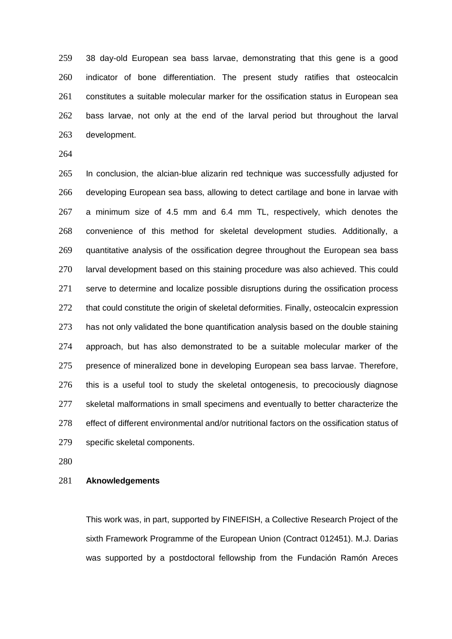38 day-old European sea bass larvae, demonstrating that this gene is a good indicator of bone differentiation. The present study ratifies that osteocalcin constitutes a suitable molecular marker for the ossification status in European sea bass larvae, not only at the end of the larval period but throughout the larval development.

 In conclusion, the alcian-blue alizarin red technique was successfully adjusted for developing European sea bass, allowing to detect cartilage and bone in larvae with a minimum size of 4.5 mm and 6.4 mm TL, respectively, which denotes the convenience of this method for skeletal development studies. Additionally, a 269 quantitative analysis of the ossification degree throughout the European sea bass larval development based on this staining procedure was also achieved. This could 271 serve to determine and localize possible disruptions during the ossification process 272 that could constitute the origin of skeletal deformities. Finally, osteocalcin expression 273 has not only validated the bone quantification analysis based on the double staining approach, but has also demonstrated to be a suitable molecular marker of the presence of mineralized bone in developing European sea bass larvae. Therefore, this is a useful tool to study the skeletal ontogenesis, to precociously diagnose 277 skeletal malformations in small specimens and eventually to better characterize the 278 effect of different environmental and/or nutritional factors on the ossification status of specific skeletal components.

### **Aknowledgements**

This work was, in part, supported by FINEFISH, a Collective Research Project of the sixth Framework Programme of the European Union (Contract 012451). M.J. Darias was supported by a postdoctoral fellowship from the Fundación Ramón Areces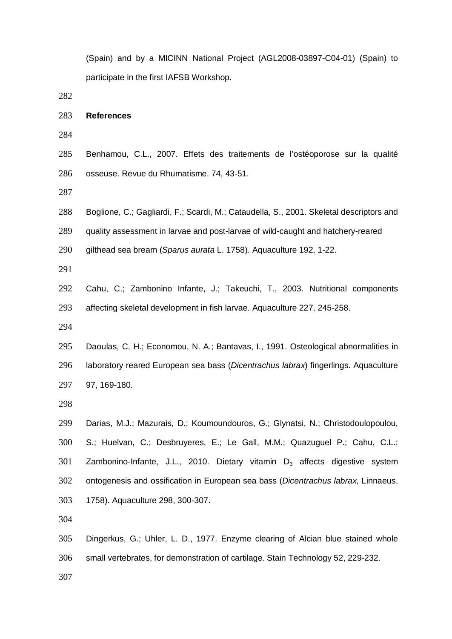(Spain) and by a MICINN National Project (AGL2008-03897-C04-01) (Spain) to participate in the first IAFSB Workshop.

#### **References**

 Benhamou, C.L., 2007. Effets des traitements de l'ostéoporose sur la qualité osseuse. Revue du Rhumatisme. 74, 43-51.

- Boglione, C.; Gagliardi, F.; Scardi, M.; Cataudella, S., 2001. Skeletal descriptors and
- quality assessment in larvae and post-larvae of wild-caught and hatchery-reared
- gilthead sea bream (*Sparus aurata* L. 1758). Aquaculture 192, 1-22.

 Cahu, C.; Zambonino Infante, J.; Takeuchi, T., 2003. Nutritional components affecting skeletal development in fish larvae. Aquaculture 227, 245-258.

 Daoulas, C. H.; Economou, N. A.; Bantavas, I., 1991. Osteological abnormalities in laboratory reared European sea bass (*Dicentrachus labrax*) fingerlings. Aquaculture 97, 169-180.

 Darias, M.J.; Mazurais, D.; Koumoundouros, G.; Glynatsi, N.; Christodoulopoulou, S.; Huelvan, C.; Desbruyeres, E.; Le Gall, M.M.; Quazuguel P.; Cahu, C.L.; Zambonino-Infante, J.L., 2010. Dietary vitamin  $D_3$  affects digestive system ontogenesis and ossification in European sea bass (*Dicentrachus labrax*, Linnaeus, 1758). Aquaculture 298, 300-307.

 Dingerkus, G.; Uhler, L. D., 1977. Enzyme clearing of Alcian blue stained whole small vertebrates, for demonstration of cartilage. Stain Technology 52, 229-232.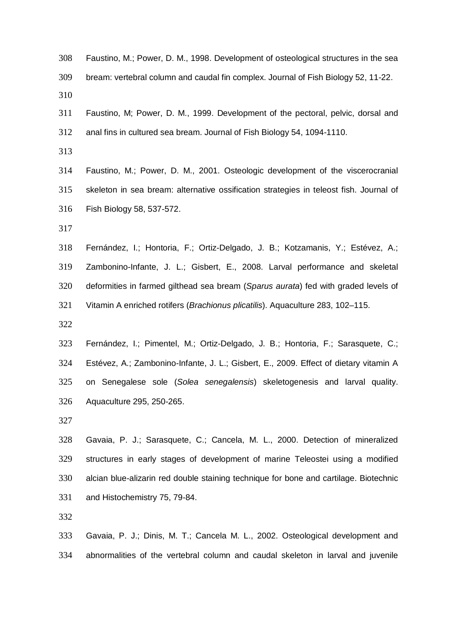| 308 | Faustino, M.; Power, D. M., 1998. Development of osteological structures in the sea    |  |  |
|-----|----------------------------------------------------------------------------------------|--|--|
| 309 | bream: vertebral column and caudal fin complex. Journal of Fish Biology 52, 11-22.     |  |  |
| 310 |                                                                                        |  |  |
| 311 | Faustino, M; Power, D. M., 1999. Development of the pectoral, pelvic, dorsal and       |  |  |
| 312 | anal fins in cultured sea bream. Journal of Fish Biology 54, 1094-1110.                |  |  |
| 313 |                                                                                        |  |  |
| 314 | Faustino, M.; Power, D. M., 2001. Osteologic development of the viscerocranial         |  |  |
| 315 | skeleton in sea bream: alternative ossification strategies in teleost fish. Journal of |  |  |
| 316 | Fish Biology 58, 537-572.                                                              |  |  |
| 317 |                                                                                        |  |  |
| 318 | Fernández, I.; Hontoria, F.; Ortiz-Delgado, J. B.; Kotzamanis, Y.; Estévez, A.;        |  |  |
| 319 | Zambonino-Infante, J. L.; Gisbert, E., 2008. Larval performance and skeletal           |  |  |
| 320 | deformities in farmed gilthead sea bream (Sparus aurata) fed with graded levels of     |  |  |
| 321 | Vitamin A enriched rotifers (Brachionus plicatilis). Aquaculture 283, 102-115.         |  |  |
| 322 |                                                                                        |  |  |
| 323 | Fernández, I.; Pimentel, M.; Ortiz-Delgado, J. B.; Hontoria, F.; Sarasquete, C.;       |  |  |
| 324 | Estévez, A.; Zambonino-Infante, J. L.; Gisbert, E., 2009. Effect of dietary vitamin A  |  |  |
| 325 | on Senegalese sole (Solea senegalensis) skeletogenesis and larval quality.             |  |  |
| 326 | Aquaculture 295, 250-265.                                                              |  |  |
| 327 |                                                                                        |  |  |
| 328 | Gavaia, P. J.; Sarasquete, C.; Cancela, M. L., 2000. Detection of mineralized          |  |  |
| 329 | structures in early stages of development of marine Teleostei using a modified         |  |  |
| 330 | alcian blue-alizarin red double staining technique for bone and cartilage. Biotechnic  |  |  |
| 331 | and Histochemistry 75, 79-84.                                                          |  |  |
| 332 |                                                                                        |  |  |
| 333 | Gavaia, P. J.; Dinis, M. T.; Cancela M. L., 2002. Osteological development and         |  |  |
| 334 | abnormalities of the vertebral column and caudal skeleton in larval and juvenile       |  |  |
|     |                                                                                        |  |  |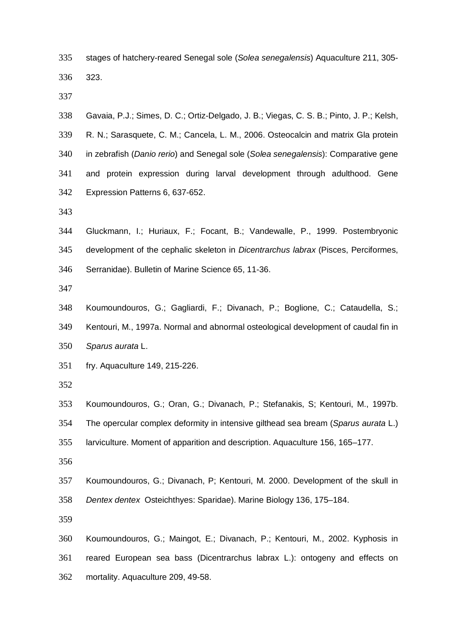- stages of hatchery-reared Senegal sole (*Solea senegalensis*) Aquaculture 211, 305- 323.
- 
- Gavaia, P.J.; Simes, D. C.; Ortiz-Delgado, J. B.; Viegas, C. S. B.; Pinto, J. P.; Kelsh, R. N.; Sarasquete, C. M.; Cancela, L. M., 2006. Osteocalcin and matrix Gla protein in zebrafish (*Danio rerio*) and Senegal sole (*Solea senegalensis*): Comparative gene and protein expression during larval development through adulthood. Gene Expression Patterns 6, 637-652.
- 
- Gluckmann, I.; Huriaux, F.; Focant, B.; Vandewalle, P., 1999. Postembryonic development of the cephalic skeleton in *Dicentrarchus labrax* (Pisces, Perciformes, Serranidae). Bulletin of Marine Science 65, 11-36.
- 

 Koumoundouros, G.; Gagliardi, F.; Divanach, P.; Boglione, C.; Cataudella, S.; Kentouri, M., 1997a. Normal and abnormal osteological development of caudal fin in *Sparus aurata* L.

- fry. Aquaculture 149, 215-226.
- 

Koumoundouros, G.; Oran, G.; Divanach, P.; Stefanakis, S; Kentouri, M., 1997b.

The opercular complex deformity in intensive gilthead sea bream (*Sparus aurata* L.)

larviculture. Moment of apparition and description. Aquaculture 156, 165–177.

 Koumoundouros, G.; Divanach, P; Kentouri, M. 2000. Development of the skull in *Dentex dentex* Osteichthyes: Sparidae). Marine Biology 136, 175–184.

 Koumoundouros, G.; Maingot, E.; Divanach, P.; Kentouri, M., 2002. Kyphosis in reared European sea bass (Dicentrarchus labrax L.): ontogeny and effects on mortality. Aquaculture 209, 49-58.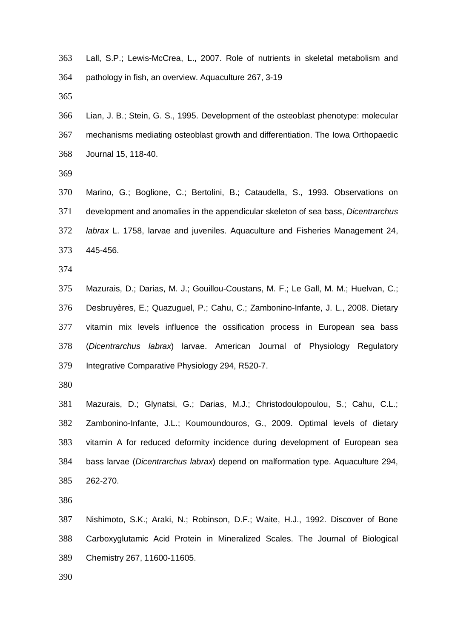- Lall, S.P.; Lewis-McCrea, L., 2007. Role of nutrients in skeletal metabolism and pathology in fish, an overview. Aquaculture 267, 3-19
- 
- Lian, J. B.; Stein, G. S., 1995. Development of the osteoblast phenotype: molecular mechanisms mediating osteoblast growth and differentiation. The Iowa Orthopaedic Journal 15, 118-40.
- 

 Marino, G.; Boglione, C.; Bertolini, B.; Cataudella, S., 1993. Observations on development and anomalies in the appendicular skeleton of sea bass, *Dicentrarchus labrax* L. 1758, larvae and juveniles. Aquaculture and Fisheries Management 24, 445-456.

 Mazurais, D.; Darias, M. J.; Gouillou-Coustans, M. F.; Le Gall, M. M.; Huelvan, C.; Desbruyères, E.; Quazuguel, P.; Cahu, C.; Zambonino-Infante, J. L., 2008. Dietary vitamin mix levels influence the ossification process in European sea bass (*Dicentrarchus labrax*) larvae. American Journal of Physiology Regulatory Integrative Comparative Physiology 294, R520-7.

 Mazurais, D.; Glynatsi, G.; Darias, M.J.; Christodoulopoulou, S.; Cahu, C.L.; Zambonino-Infante, J.L.; Koumoundouros, G., 2009. Optimal levels of dietary vitamin A for reduced deformity incidence during development of European sea bass larvae (*Dicentrarchus labrax*) depend on malformation type. Aquaculture 294, 262-270.

 Nishimoto, S.K.; Araki, N.; Robinson, D.F.; Waite, H.J., 1992. Discover of Bone Carboxyglutamic Acid Protein in Mineralized Scales. The Journal of Biological Chemistry 267, 11600-11605.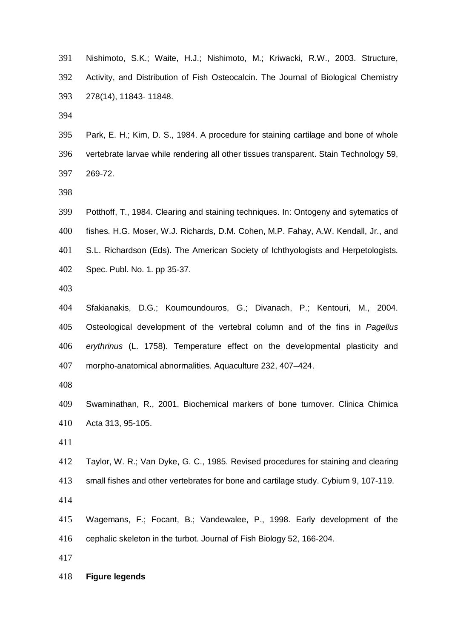Nishimoto, S.K.; Waite, H.J.; Nishimoto, M.; Kriwacki, R.W., 2003. Structure, Activity, and Distribution of Fish Osteocalcin. The Journal of Biological Chemistry 278(14), 11843- 11848.

 Park, E. H.; Kim, D. S., 1984. A procedure for staining cartilage and bone of whole vertebrate larvae while rendering all other tissues transparent. Stain Technology 59, 269-72.

 Potthoff, T., 1984. Clearing and staining techniques. In: Ontogeny and sytematics of fishes. H.G. Moser, W.J. Richards, D.M. Cohen, M.P. Fahay, A.W. Kendall, Jr., and S.L. Richardson (Eds). The American Society of Ichthyologists and Herpetologists. Spec. Publ. No. 1. pp 35-37.

 Sfakianakis, D.G.; Koumoundouros, G.; Divanach, P.; Kentouri, M., 2004. Osteological development of the vertebral column and of the fins in *Pagellus erythrinus* (L. 1758). Temperature effect on the developmental plasticity and morpho-anatomical abnormalities. Aquaculture 232, 407–424.

- Swaminathan, R., 2001. Biochemical markers of bone turnover. Clinica Chimica Acta 313, 95-105.
- 
- Taylor, W. R.; Van Dyke, G. C., 1985. Revised procedures for staining and clearing
- small fishes and other vertebrates for bone and cartilage study. Cybium 9, 107-119.

 Wagemans, F.; Focant, B.; Vandewalee, P., 1998. Early development of the cephalic skeleton in the turbot. Journal of Fish Biology 52, 166-204.

#### **Figure legends**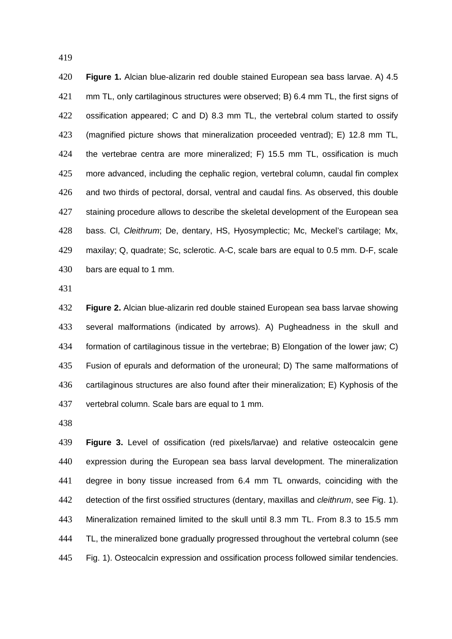**Figure 1.** Alcian blue-alizarin red double stained European sea bass larvae. A) 4.5 421 mm TL, only cartilaginous structures were observed; B) 6.4 mm TL, the first signs of ossification appeared; C and D) 8.3 mm TL, the vertebral colum started to ossify (magnified picture shows that mineralization proceeded ventrad); E) 12.8 mm TL, the vertebrae centra are more mineralized; F) 15.5 mm TL, ossification is much more advanced, including the cephalic region, vertebral column, caudal fin complex and two thirds of pectoral, dorsal, ventral and caudal fins. As observed, this double 427 staining procedure allows to describe the skeletal development of the European sea bass. Cl, *Cleithrum*; De, dentary, HS, Hyosymplectic; Mc, Meckel's cartilage; Mx, maxilay; Q, quadrate; Sc, sclerotic. A-C, scale bars are equal to 0.5 mm. D-F, scale bars are equal to 1 mm.

 **Figure 2.** Alcian blue-alizarin red double stained European sea bass larvae showing several malformations (indicated by arrows). A) Pugheadness in the skull and formation of cartilaginous tissue in the vertebrae; B) Elongation of the lower jaw; C) Fusion of epurals and deformation of the uroneural; D) The same malformations of cartilaginous structures are also found after their mineralization; E) Kyphosis of the vertebral column. Scale bars are equal to 1 mm.

 **Figure 3.** Level of ossification (red pixels/larvae) and relative osteocalcin gene expression during the European sea bass larval development. The mineralization degree in bony tissue increased from 6.4 mm TL onwards, coinciding with the detection of the first ossified structures (dentary, maxillas and *cleithrum*, see Fig. 1). Mineralization remained limited to the skull until 8.3 mm TL. From 8.3 to 15.5 mm TL, the mineralized bone gradually progressed throughout the vertebral column (see Fig. 1). Osteocalcin expression and ossification process followed similar tendencies.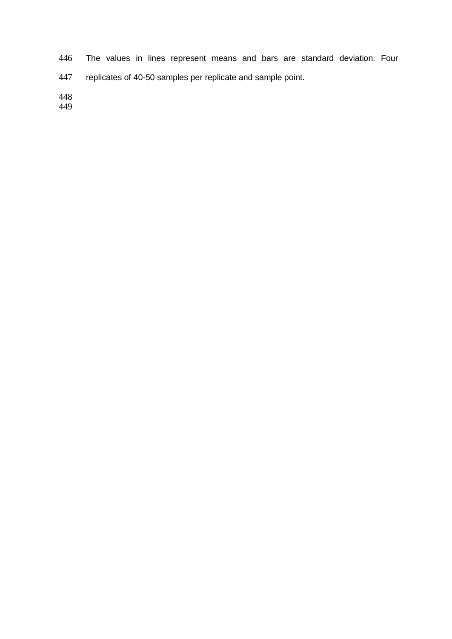The values in lines represent means and bars are standard deviation. Four replicates of 40-50 samples per replicate and sample point.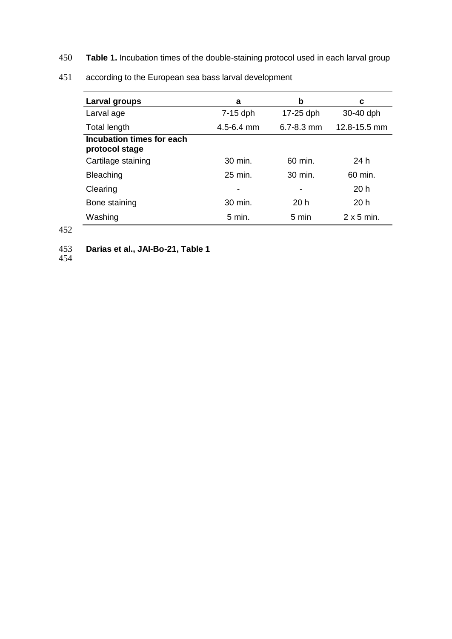450 **Table 1.** Incubation times of the double-staining protocol used in each larval group

| Larval groups                               | a              | b                  | c                 |
|---------------------------------------------|----------------|--------------------|-------------------|
| Larval age                                  | $7-15$ dph     | 17-25 dph          | 30-40 dph         |
| Total length                                | $4.5 - 6.4$ mm | $6.7 - 8.3$ mm     | 12.8-15.5 mm      |
| Incubation times for each<br>protocol stage |                |                    |                   |
| Cartilage staining                          | 30 min.        | 60 min.            | 24 h              |
| <b>Bleaching</b>                            | $25$ min.      | $30 \text{ min}$ . | 60 min.           |
| Clearing                                    | -              | -                  | 20h               |
| Bone staining                               | 30 min.        | 20h                | 20h               |
| Washing                                     | 5 min.         | 5 min              | $2 \times 5$ min. |

451 according to the European sea bass larval development

# 452

453 **Darias et al., JAI-Bo-21, Table 1**

<sup>454</sup>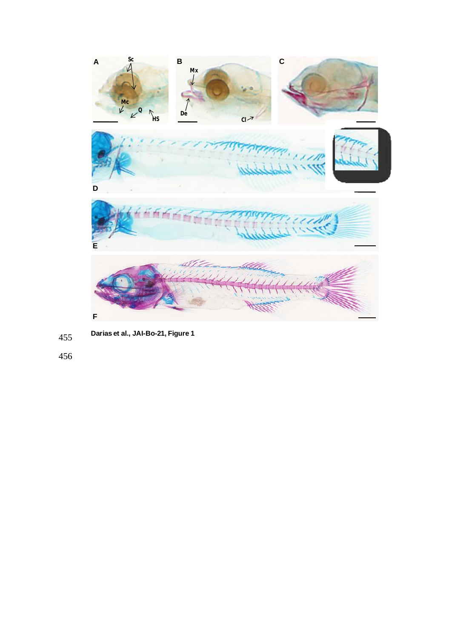

**Darias et al., JAI-Bo-21, Figure 1** 455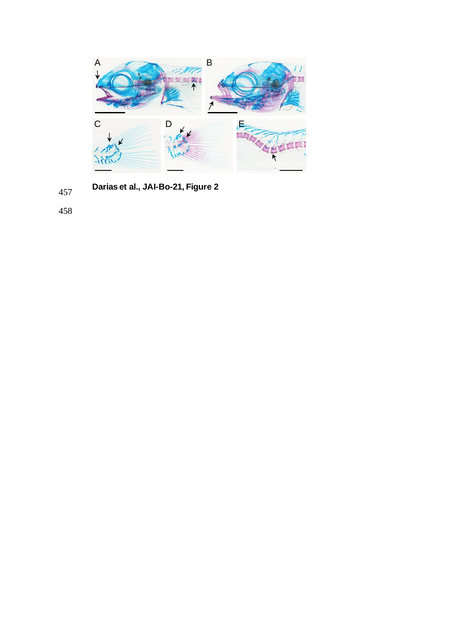

**Darias et al., JAI-Bo-21, Figure 2** 457